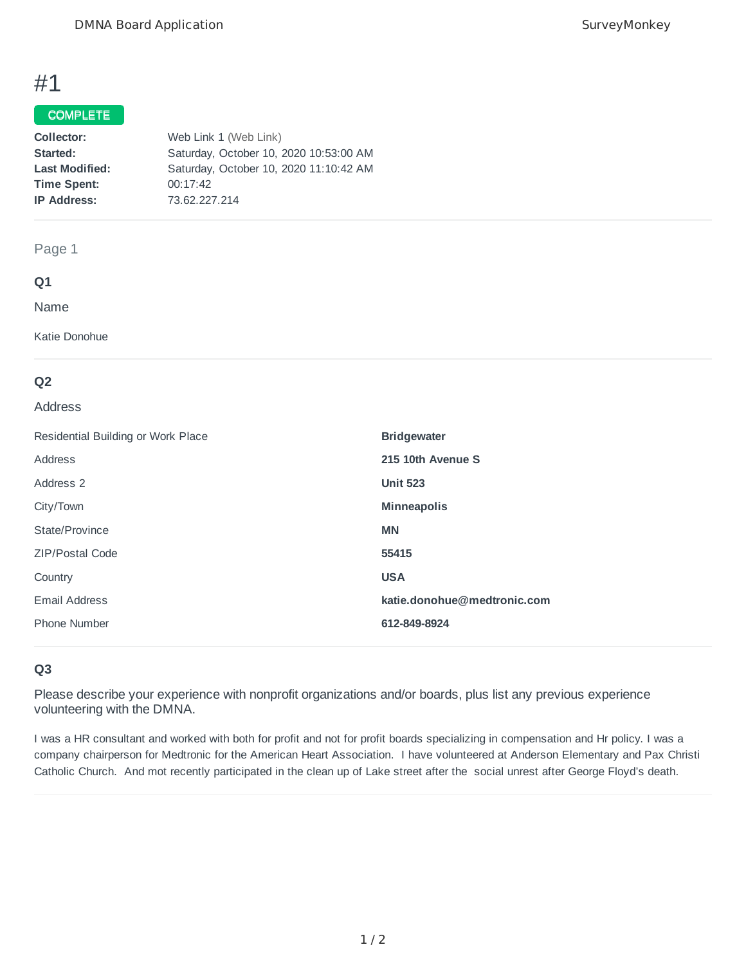# #1

#### COMPLETE

| Web Link 1 (Web Link)                  |
|----------------------------------------|
| Saturday, October 10, 2020 10:53:00 AM |
| Saturday, October 10, 2020 11:10:42 AM |
| 00:17:42                               |
| 73.62.227.214                          |
|                                        |

### Page 1

### **Q1**

Name

Katie Donohue

# **Q2**

#### Address

| Residential Building or Work Place | <b>Bridgewater</b>          |
|------------------------------------|-----------------------------|
| Address                            | 215 10th Avenue S           |
| Address 2                          | <b>Unit 523</b>             |
| City/Town                          | <b>Minneapolis</b>          |
| State/Province                     | <b>MN</b>                   |
| <b>ZIP/Postal Code</b>             | 55415                       |
| Country                            | <b>USA</b>                  |
| Email Address                      | katie.donohue@medtronic.com |
| Phone Number                       | 612-849-8924                |

# **Q3**

Please describe your experience with nonprofit organizations and/or boards, plus list any previous experience volunteering with the DMNA.

I was a HR consultant and worked with both for profit and not for profit boards specializing in compensation and Hr policy. I was a company chairperson for Medtronic for the American Heart Association. I have volunteered at Anderson Elementary and Pax Christi Catholic Church. And mot recently participated in the clean up of Lake street after the social unrest after George Floyd's death.